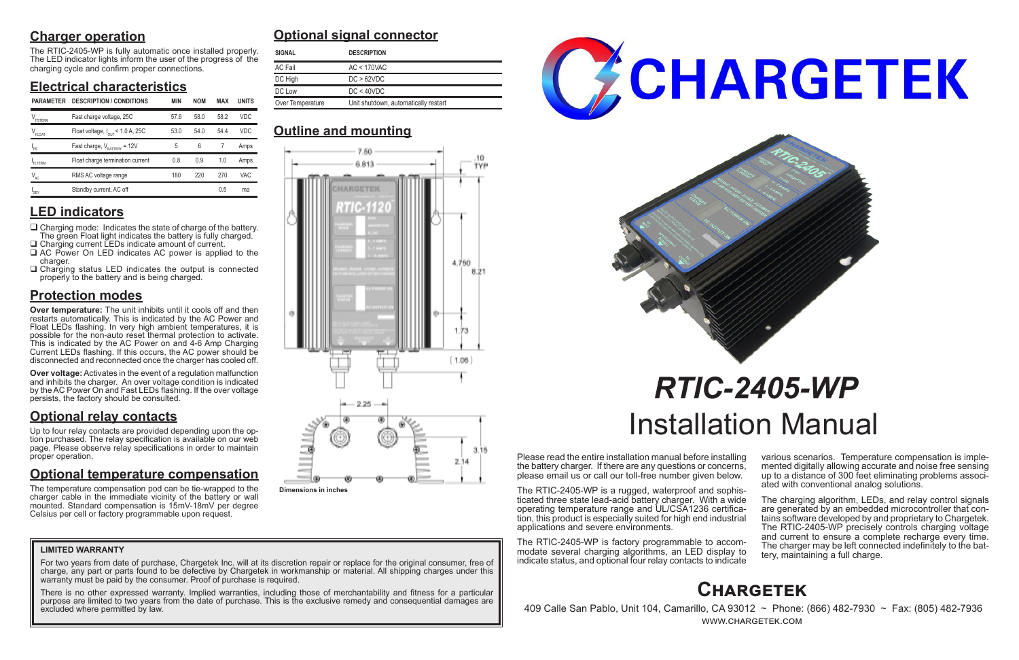# **Charger operation**

The RTIC-2405-WP is fully automatic once installed properly. The LED indicator lights inform the user of the progress of the charging cycle and confirm proper connections.

# **Electrical characteristics**

# **LED indicators**

- $\Box$  Charging mode: Indicates the state of charge of the battery. The green Float light indicates the battery is fully charged. □ Charging current LEDs indicate amount of current.
- □ AC Power On LED indicates AC power is applied to the charger.
- $\Box$  Charging status LED indicates the output is connected properly to the battery and is being charged.

# **Protection modes**

**Over temperature:** The unit inhibits until it cools off and then restarts automatically. This is indicated by the AC Power and Float LEDs flashing. In very high ambient temperatures, it is possible for the non-auto reset thermal protection to activate. This is indicated by the AC Power on and 4-6 Amp Charging Current LEDs flashing. If this occurs, the AC power should be disconnected and reconnected once the charger has cooled off.

**Over voltage:** Activates in the event of a regulation malfunction and inhibits the charger. An over voltage condition is indicated by the AC Power On and Fast LEDs flashing. If the over voltage persists, the factory should be consulted.

# **Optional relay contacts**

Up to four relay contacts are provided depending upon the option purchased. The relay specification is available on our web page. Please observe relay specifications in order to maintain proper operation.

> The charging algorithm, LEDs, and relay control signals are generated by an embedded microcontroller that contains software developed by and proprietary to Chargetek. The RTIC-2405-WP precisely controls charging voltage and current to ensure a complete recharge every time. The charger may be left connected indefinitely to the bat- tery, maintaining a full charge.

# **Optional temperature compensation**

For two years from date of purchase, Chargetek Inc. will at its discretion repair or replace for the original consumer, free of charge, any part or parts found to be defective by Chargetek in workmanship or material. All shipping charges under this warranty must be paid by the consumer. Proof of purchase is required.

The temperature compensation pod can be tie-wrapped to the charger cable in the immediate vicinity of the battery or wall mounted. Standard compensation is 15mV-18mV per degree Celsius per cell or factory programmable upon request.

Please read the entire installation manual before installing the battery charger. If there are any questions or concerns, please email us or call our toll-free number given below.

The RTIC-2405-WP is a rugged, waterproof and sophisticated three state lead-acid battery charger. With a wide tion, this product is especially suited for high end industrial applications and severe environments.

The RTIC-2405-WP is factory programmable to accommodate several charging algorithms, an LED display to indicate status, and optional four relay contacts to indicate various scenarios. Temperature compensation is imple- mented digitally allowing accurate and noise free sensing up to a distance of 300 feet eliminating problems associ- ated with conventional analog solutions.

# *RTIC-2405-WP* Installation Manual

# **Optional signal connector**

# **Outline and mounting**

# **Chargetek**

 409 Calle San Pablo, Unit 104, Camarillo, CA 93012 ~ Phone: (866) 482-7930 ~ Fax: (805) 482-7936 www.chargetek.com

### **LIMITED WARRANTY**

There is no other expressed warranty. Implied warranties, including those of merchantability and fitness for a particular purpose are limited to two years from the date of purchase. This is the exclusive remedy and consequential damages are excluded where permitted by law.





| <b>SIGNAL</b>    | <b>DESCRIPTION</b>                   |
|------------------|--------------------------------------|
| AC Fail          | AC < 170VAC                          |
| DC High          | DC > 62VDC                           |
| DC Low           | DC < 40VDC                           |
| Over Temperature | Unit shutdown, automatically restart |

| <b>PARAMETER</b>      | <b>DESCRIPTION / CONDITIONS</b>        | MIN  | <b>NOM</b> | <b>MAX</b> | <b>UNITS</b> |                                                          |
|-----------------------|----------------------------------------|------|------------|------------|--------------|----------------------------------------------------------|
|                       |                                        |      |            |            |              | Over Temperature<br>Unit shutdown, automatically restart |
| $V_{\rm FSTERM}$      | Fast charge voltage, 25C               | 57.6 | 58.0       | 58.2       | VDC.         |                                                          |
| $V_{_{\text{FLOAT}}}$ | Float voltage, $I_{OUT}$ < 1.0 A, 25C  | 53.0 | 54.0       | 54.4       | <b>VDC</b>   | <b>Outline and mounting</b>                              |
| 'FS                   | Fast charge, $V_{\text{raffry}} = 12V$ | 5    | 6          |            | Amps         | 7.50.                                                    |
| FLTERM                | Float charge termination current       | 0.8  | 0.9        | 1.0        | Amps         | 6.813                                                    |
| $V_{AC}$              | RMS AC voltage range                   | 180  | 220        | 270        | <b>VAC</b>   |                                                          |
| $I_{SBY}$             | Standby current, AC off                |      |            | 0.5        | ma           | _________                                                |



**Dimensions in inches**